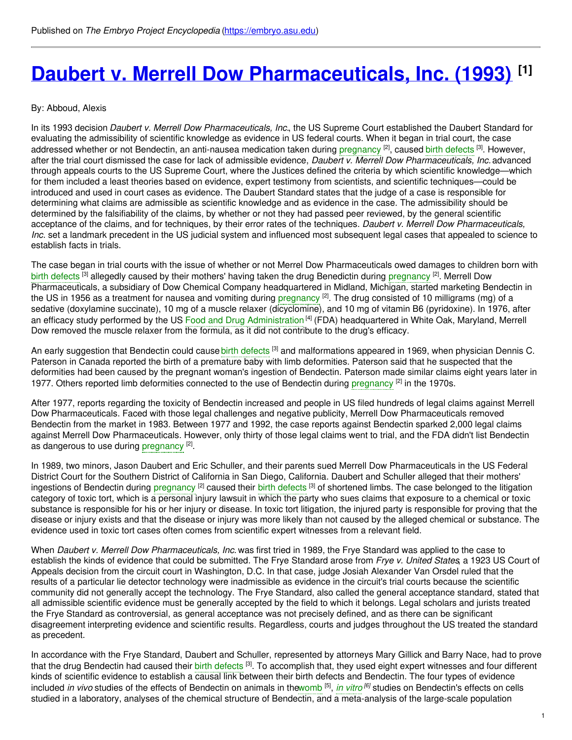# **Daubert v. Merrell Dow [Pharmaceuticals,](https://embryo.asu.edu/pages/daubert-v-merrell-dow-pharmaceuticals-inc-1993) Inc. (1993) [1]**

#### By: Abboud, Alexis

In its 1993 decision *Daubert v. Merrell Dow Pharmaceuticals, Inc.*, the US Supreme Court established the Daubert Standard for evaluating the admissibility of scientific knowledge as evidence in US federal courts. When it began in trial court, the case addressed whether or not Bendectin, an anti-nausea medication taken during [pregnancy](https://embryo.asu.edu/search?text=pregnancy) <sup>[2]</sup>, caused birth [defects](https://embryo.asu.edu/search?text=birth%20defects) <sup>[3]</sup>. However, after the trial court dismissed the case for lack of admissible evidence, *Daubert v. Merrell Dow Pharmaceuticals, Inc.* advanced through appeals courts to the US Supreme Court, where the Justices defined the criteria by which scientific knowledge—which for them included a least theories based on evidence, expert testimony from scientists, and scientific techniques—could be introduced and used in court cases as evidence. The Daubert Standard states that the judge of a case is responsible for determining what claims are admissible as scientific knowledge and as evidence in the case. The admissibility should be determined by the falsifiability of the claims, by whether or not they had passed peer reviewed, by the general scientific acceptance of the claims, and for techniques, by their error rates of the techniques. *Daubert v. Merrell Dow Pharmaceuticals, Inc.* set a landmark precedent in the US judicial system and influenced most subsequent legal cases that appealed to science to establish facts in trials.

The case began in trial courts with the issue of whether or not Merrel Dow Pharmaceuticals owed damages to children born with birth [defects](https://embryo.asu.edu/search?text=birth%20defects) <sup>[3]</sup> allegedly caused by their mothers' having taken the drug Benedictin during [pregnancy](https://embryo.asu.edu/search?text=pregnancy) <sup>[2]</sup>. Merrell Dow Pharmaceuticals, a subsidiary of Dow Chemical Company headquartered in Midland, Michigan, started marketing Bendectin in the US in 1956 as a treatment for nausea and vomiting during [pregnancy](https://embryo.asu.edu/search?text=pregnancy) <sup>[2]</sup>. The drug consisted of 10 milligrams (mg) of a sedative (doxylamine succinate), 10 mg of a muscle relaxer (dicyclomine), and 10 mg of vitamin B6 (pyridoxine). In 1976, after an efficacy study performed by the US Food and Drug [Administration](https://embryo.asu.edu/search?text=Food%20and%20Drug%20Administration) <sup>[4]</sup> (FDA) headquartered in White Oak, Maryland, Merrell Dow removed the muscle relaxer from the formula, as it did not contribute to the drug's efficacy.

An early suggestion that Bendectin could cause <mark>birth [defects](https://embryo.asu.edu/search?text=birth%20defects) <sup>[3]</sup> and malformations appeared in 1969, when physician Dennis C.</mark> Paterson in Canada reported the birth of a premature baby with limb deformities. Paterson said that he suspected that the deformities had been caused by the pregnant woman's ingestion of Bendectin. Paterson made similar claims eight years later in 1977. Others reported limb deformities connected to the use of Bendectin during [pregnancy](https://embryo.asu.edu/search?text=pregnancy)<sup>[2]</sup> in the 1970s.

After 1977, reports regarding the toxicity of Bendectin increased and people in US filed hundreds of legal claims against Merrell Dow Pharmaceuticals. Faced with those legal challenges and negative publicity, Merrell Dow Pharmaceuticals removed Bendectin from the market in 1983. Between 1977 and 1992, the case reports against Bendectin sparked 2,000 legal claims against Merrell Dow Pharmaceuticals. However, only thirty of those legal claims went to trial, and the FDA didn't list Bendectin as dangerous to use during [pregnancy](https://embryo.asu.edu/search?text=pregnancy) <sup>[2]</sup>.

In 1989, two minors, Jason Daubert and Eric Schuller, and their parents sued Merrell Dow Pharmaceuticals in the US Federal District Court for the Southern District of California in San Diego, California. Daubert and Schuller alleged that their mothers' ingestions of Bendectin during [pregnancy](https://embryo.asu.edu/search?text=pregnancy) <sup>[2]</sup> caused their birth [defects](https://embryo.asu.edu/search?text=birth%20defects) <sup>[3]</sup> of shortened limbs. The case belonged to the litigation category of toxic tort, which is a personal injury lawsuit in which the party who sues claims that exposure to a chemical or toxic substance is responsible for his or her injury or disease. In toxic tort litigation, the injured party is responsible for proving that the disease or injury exists and that the disease or injury was more likely than not caused by the alleged chemical or substance. The evidence used in toxic tort cases often comes from scientific expert witnesses from a relevant field.

When *Daubert v. Merrell Dow Pharmaceuticals, Inc.* was first tried in 1989, the Frye Standard was applied to the case to establish the kinds of evidence that could be submitted. The Frye Standard arose from *Frye v. United States*, a 1923 US Court of Appeals decision from the circuit court in Washington, D.C. In that case, judge Josiah Alexander Van Orsdel ruled that the results of a particular lie detector technology were inadmissible as evidence in the circuit's trial courts because the scientific community did not generally accept the technology. The Frye Standard, also called the general acceptance standard, stated that all admissible scientific evidence must be generally accepted by the field to which it belongs. Legal scholars and jurists treated the Frye Standard as controversial, as general acceptance was not precisely defined, and as there can be significant disagreement interpreting evidence and scientific results. Regardless, courts and judges throughout the US treated the standard as precedent.

In accordance with the Frye Standard, Daubert and Schuller, represented by attorneys Mary Gillick and Barry Nace, had to prove that the drug Bendectin had caused their birth [defects](https://embryo.asu.edu/search?text=birth%20defects) <sup>[3]</sup>. To accomplish that, they used eight expert witnesses and four different kinds of scientific evidence to establish a causal link between their birth defects and Bendectin. The four types of evidence included *in vivo* studies of the effects of Bendectin on animals in th[ewomb](https://embryo.asu.edu/search?text=womb) [5] , *in [vitro](https://embryo.asu.edu/search?text=in%20vitro) [6]* studies on Bendectin's effects on cells studied in a laboratory, analyses of the chemical structure of Bendectin, and a meta-analysis of the large-scale population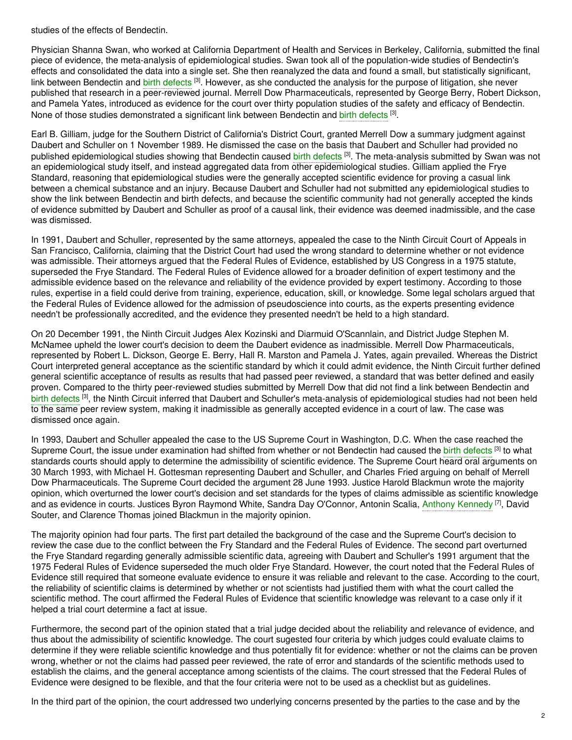studies of the effects of Bendectin.

Physician Shanna Swan, who worked at California Department of Health and Services in Berkeley, California, submitted the final piece of evidence, the meta-analysis of epidemiological studies. Swan took all of the population-wide studies of Bendectin's effects and consolidated the data into a single set. She then reanalyzed the data and found a small, but statistically significant, link between Bendectin and birth [defects](https://embryo.asu.edu/search?text=birth%20defects) <sup>[3]</sup>. However, as she conducted the analysis for the purpose of litigation, she never published that research in a peer-reviewed journal. Merrell Dow Pharmaceuticals, represented by George Berry, Robert Dickson, and Pamela Yates, introduced as evidence for the court over thirty population studies of the safety and efficacy of Bendectin. None of those studies demonstrated a significant link between Bendectin and birth [defects](https://embryo.asu.edu/search?text=birth%20defects) <sup>[3]</sup>.

Earl B. Gilliam, judge for the Southern District of California's District Court, granted Merrell Dow a summary judgment against Daubert and Schuller on 1 November 1989. He dismissed the case on the basis that Daubert and Schuller had provided no published epidemiological studies showing that Bendectin caused birth [defects](https://embryo.asu.edu/search?text=birth%20defects) <sup>[3]</sup>. The meta-analysis submitted by Swan was not an epidemiological study itself, and instead aggregated data from other epidemiological studies. Gilliam applied the Frye Standard, reasoning that epidemiological studies were the generally accepted scientific evidence for proving a casual link between a chemical substance and an injury. Because Daubert and Schuller had not submitted any epidemiological studies to show the link between Bendectin and birth defects, and because the scientific community had not generally accepted the kinds of evidence submitted by Daubert and Schuller as proof of a causal link, their evidence was deemed inadmissible, and the case was dismissed.

In 1991, Daubert and Schuller, represented by the same attorneys, appealed the case to the Ninth Circuit Court of Appeals in San Francisco, California, claiming that the District Court had used the wrong standard to determine whether or not evidence was admissible. Their attorneys argued that the Federal Rules of Evidence, established by US Congress in a 1975 statute, superseded the Frye Standard. The Federal Rules of Evidence allowed for a broader definition of expert testimony and the admissible evidence based on the relevance and reliability of the evidence provided by expert testimony. According to those rules, expertise in a field could derive from training, experience, education, skill, or knowledge. Some legal scholars argued that the Federal Rules of Evidence allowed for the admission of pseudoscience into courts, as the experts presenting evidence needn't be professionally accredited, and the evidence they presented needn't be held to a high standard.

On 20 December 1991, the Ninth Circuit Judges Alex Kozinski and Diarmuid O'Scannlain, and District Judge Stephen M. McNamee upheld the lower court's decision to deem the Daubert evidence as inadmissible. Merrell Dow Pharmaceuticals, represented by Robert L. Dickson, George E. Berry, Hall R. Marston and Pamela J. Yates, again prevailed. Whereas the District Court interpreted general acceptance as the scientific standard by which it could admit evidence, the Ninth Circuit further defined general scientific acceptance of results as results that had passed peer reviewed, a standard that was better defined and easily proven. Compared to the thirty peer-reviewed studies submitted by Merrell Dow that did not find a link between Bendectin and birth [defects](https://embryo.asu.edu/search?text=birth%20defects) <sup>[3]</sup>, the Ninth Circuit inferred that Daubert and Schuller's meta-analysis of epidemiological studies had not been held to the same peer review system, making it inadmissible as generally accepted evidence in a court of law. The case was dismissed once again.

In 1993, Daubert and Schuller appealed the case to the US Supreme Court in Washington, D.C. When the case reached the Supreme Court, the issue under examination had shifted from whether or not Bendectin had caused the birth [defects](https://embryo.asu.edu/search?text=birth%20defects) <sup>[3]</sup> to what standards courts should apply to determine the admissibility of scientific evidence. The Supreme Court heard oral arguments on 30 March 1993, with Michael H. Gottesman representing Daubert and Schuller, and Charles Fried arguing on behalf of Merrell Dow Pharmaceuticals. The Supreme Court decided the argument 28 June 1993. Justice Harold Blackmun wrote the majority opinion, which overturned the lower court's decision and set standards for the types of claims admissible as scientific knowledge and as evidence in courts. Justices Byron Raymond White, Sandra Day O'Connor, Antonin Scalia, Anthony [Kennedy](https://embryo.asu.edu/search?text=Anthony%20Kennedy) <sup>[7]</sup>, David Souter, and Clarence Thomas joined Blackmun in the majority opinion.

The majority opinion had four parts. The first part detailed the background of the case and the Supreme Court's decision to review the case due to the conflict between the Fry Standard and the Federal Rules of Evidence. The second part overturned the Frye Standard regarding generally admissible scientific data, agreeing with Daubert and Schuller's 1991 argument that the 1975 Federal Rules of Evidence superseded the much older Frye Standard. However, the court noted that the Federal Rules of Evidence still required that someone evaluate evidence to ensure it was reliable and relevant to the case. According to the court, the reliability of scientific claims is determined by whether or not scientists had justified them with what the court called the scientific method. The court affirmed the Federal Rules of Evidence that scientific knowledge was relevant to a case only if it helped a trial court determine a fact at issue.

Furthermore, the second part of the opinion stated that a trial judge decided about the reliability and relevance of evidence, and thus about the admissibility of scientific knowledge. The court sugested four criteria by which judges could evaluate claims to determine if they were reliable scientific knowledge and thus potentially fit for evidence: whether or not the claims can be proven wrong, whether or not the claims had passed peer reviewed, the rate of error and standards of the scientific methods used to establish the claims, and the general acceptance among scientists of the claims. The court stressed that the Federal Rules of Evidence were designed to be flexible, and that the four criteria were not to be used as a checklist but as guidelines.

In the third part of the opinion, the court addressed two underlying concerns presented by the parties to the case and by the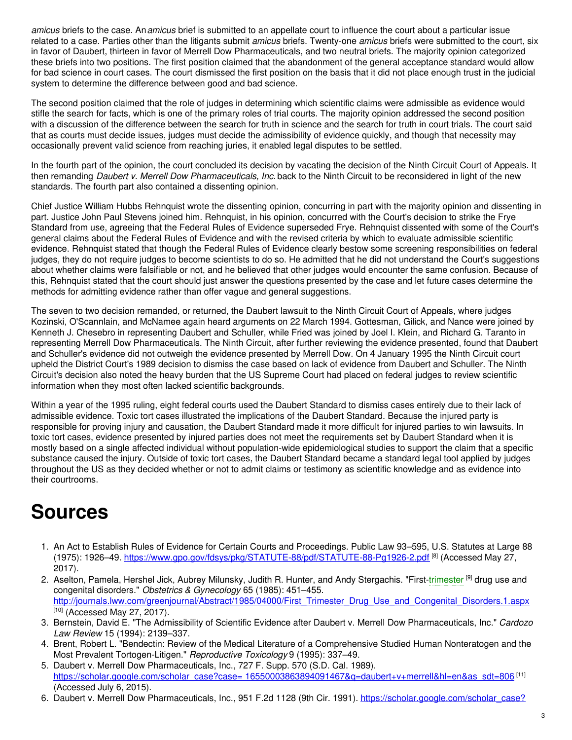*amicus* briefs to the case. An*amicus* brief is submitted to an appellate court to influence the court about a particular issue related to a case. Parties other than the litigants submit *amicus* briefs. Twenty-one *amicus* briefs were submitted to the court, six in favor of Daubert, thirteen in favor of Merrell Dow Pharmaceuticals, and two neutral briefs. The majority opinion categorized these briefs into two positions. The first position claimed that the abandonment of the general acceptance standard would allow for bad science in court cases. The court dismissed the first position on the basis that it did not place enough trust in the judicial system to determine the difference between good and bad science.

The second position claimed that the role of judges in determining which scientific claims were admissible as evidence would stifle the search for facts, which is one of the primary roles of trial courts. The majority opinion addressed the second position with a discussion of the difference between the search for truth in science and the search for truth in court trials. The court said that as courts must decide issues, judges must decide the admissibility of evidence quickly, and though that necessity may occasionally prevent valid science from reaching juries, it enabled legal disputes to be settled.

In the fourth part of the opinion, the court concluded its decision by vacating the decision of the Ninth Circuit Court of Appeals. It then remanding *Daubert v. Merrell Dow Pharmaceuticals, Inc.* back to the Ninth Circuit to be reconsidered in light of the new standards. The fourth part also contained a dissenting opinion.

Chief Justice William Hubbs Rehnquist wrote the dissenting opinion, concurring in part with the majority opinion and dissenting in part. Justice John Paul Stevens joined him. Rehnquist, in his opinion, concurred with the Court's decision to strike the Frye Standard from use, agreeing that the Federal Rules of Evidence superseded Frye. Rehnquist dissented with some of the Court's general claims about the Federal Rules of Evidence and with the revised criteria by which to evaluate admissible scientific evidence. Rehnquist stated that though the Federal Rules of Evidence clearly bestow some screening responsibilities on federal judges, they do not require judges to become scientists to do so. He admitted that he did not understand the Court's suggestions about whether claims were falsifiable or not, and he believed that other judges would encounter the same confusion. Because of this, Rehnquist stated that the court should just answer the questions presented by the case and let future cases determine the methods for admitting evidence rather than offer vague and general suggestions.

The seven to two decision remanded, or returned, the Daubert lawsuit to the Ninth Circuit Court of Appeals, where judges Kozinski, O'Scannlain, and McNamee again heard arguments on 22 March 1994. Gottesman, Gilick, and Nance were joined by Kenneth J. Chesebro in representing Daubert and Schuller, while Fried was joined by Joel I. Klein, and Richard G. Taranto in representing Merrell Dow Pharmaceuticals. The Ninth Circuit, after further reviewing the evidence presented, found that Daubert and Schuller's evidence did not outweigh the evidence presented by Merrell Dow. On 4 January 1995 the Ninth Circuit court upheld the District Court's 1989 decision to dismiss the case based on lack of evidence from Daubert and Schuller. The Ninth Circuit's decision also noted the heavy burden that the US Supreme Court had placed on federal judges to review scientific information when they most often lacked scientific backgrounds.

Within a year of the 1995 ruling, eight federal courts used the Daubert Standard to dismiss cases entirely due to their lack of admissible evidence. Toxic tort cases illustrated the implications of the Daubert Standard. Because the injured party is responsible for proving injury and causation, the Daubert Standard made it more difficult for injured parties to win lawsuits. In toxic tort cases, evidence presented by injured parties does not meet the requirements set by Daubert Standard when it is mostly based on a single affected individual without population-wide epidemiological studies to support the claim that a specific substance caused the injury. Outside of toxic tort cases, the Daubert Standard became a standard legal tool applied by judges throughout the US as they decided whether or not to admit claims or testimony as scientific knowledge and as evidence into their courtrooms.

# **Sources**

- 1. An Act to Establish Rules of Evidence for Certain Courts and Proceedings. Public Law 93–595, U.S. Statutes at Large 88 (1975): 1926–49. <u><https://www.gpo.gov/fdsys/pkg/STATUTE-88/pdf/STATUTE-88-Pg1926-2.pdf></u> <sup>[8]</sup> (Accessed May 27, 2017).
- 2. Aselton, Pamela, Hershel Jick, Aubrey Milunsky, Judith R. Hunter, and Andy Stergachis. "First[-trimester](https://embryo.asu.edu/search?text=trimester) <sup>[9]</sup> drug use and congenital disorders." *Obstetrics & Gynecology* 65 (1985): 451–455. [http://journals.lww.com/greenjournal/Abstract/1985/04000/First\\_Trimester\\_Drug\\_Use\\_and\\_Congenital\\_Disorders.1.aspx](http://journals.lww.com/greenjournal/Abstract/1985/04000/First_Trimester_Drug_Use_and_Congenital_Disorders.1.aspx)  $[10]$  (Accessed May 27, 2017).
- 3. Bernstein, David E. "The Admissibility of Scientific Evidence after Daubert v. Merrell Dow Pharmaceuticals, Inc." *Cardozo Law Review* 15 (1994): 2139–337.
- 4. Brent, Robert L. "Bendectin: Review of the Medical Literature of a Comprehensive Studied Human Nonteratogen and the Most Prevalent Tortogen-Litigen." *Reproductive Toxicology* 9 (1995): 337–49.
- 5. Daubert v. Merrell Dow Pharmaceuticals, Inc., 727 F. Supp. 570 (S.D. Cal. 1989). <u>https://scholar.google.com/scholar\_case?case= [16550003863894091467&q=daubert+v+merrell&hl=en&as\\_sdt=806](https://scholar.google.com/scholar_case?case=%0A%09%0916550003863894091467&q=daubert+v+merrell&hl=en&as_sdt=806)</u> <sup>[11]</sup> (Accessed July 6, 2015).
- 6. Daubert v. Merrell Dow Pharmaceuticals, Inc., 951 F.2d 1128 (9th Cir. 1991). [https://scholar.google.com/scholar\\_case?](https://scholar.google.com/scholar_case?case=%0A%09%0917247048223501874803&q=daubert+v+merrell&hl=en&as_sdt=806)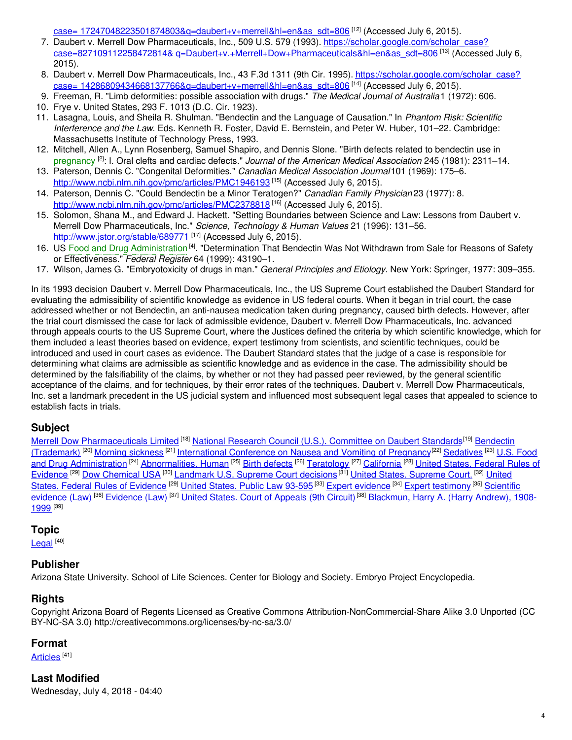<u>case= 17247048223501874803&q=daubert+v+merrell&hl=en&as\_sdt=806</u> <sup>[12]</sup> (Accessed July 6, 2015).

- 7. Daubert v. Merrell Dow Pharmaceuticals, Inc., 509 U.S. 579 (1993). https://scholar.google.com/scholar\_case? <u>case=827109112258472814& [q=Daubert+v.+Merrell+Dow+Pharmaceuticals&hl=en&as\\_sdt=806](https://scholar.google.com/scholar_case?case=827109112258472814&%0A%09%09q=Daubert+v.+Merrell+Dow+Pharmaceuticals&hl=en&as_sdt=806) <sup>[13]</sup> (Accessed July 6,</u> 2015).
- 8. Daubert v. Merrell Dow Pharmaceuticals, Inc., 43 F.3d 1311 (9th Cir. 1995). https://scholar.google.com/scholar\_case? <u>case= [14286809434668137766&q=daubert+v+merrell&hl=en&as\\_sdt=806](https://scholar.google.com/scholar_case?case=%0A%09%0914286809434668137766&q=daubert+v+merrell&hl=en&as_sdt=806)</u> <sup>[14]</sup> (Accessed July 6, 2015).
- 9. Freeman, R. "Limb deformities: possible association with drugs." *The Medical Journal of Australia*1 (1972): 606.

- 11. Lasagna, Louis, and Sheila R. Shulman. "Bendectin and the Language of Causation." In *Phantom Risk: Scientific Interference and the Law*. Eds. Kenneth R. Foster, David E. Bernstein, and Peter W. Huber, 101–22. Cambridge: Massachusetts Institute of Technology Press, 1993.
- 12. Mitchell, Allen A., Lynn Rosenberg, Samuel Shapiro, and Dennis Slone. "Birth defects related to bendectin use in [pregnancy](https://embryo.asu.edu/search?text=pregnancy) [2] : I. Oral clefts and cardiac defects." *Journal of the American Medical Association* 245 (1981): 2311–14.
- 13. Paterson, Dennis C. "Congenital Deformities." *Canadian Medical Association Journal*101 (1969): 175–6. <http://www.ncbi.nlm.nih.gov/pmc/articles/PMC1946193><sup>[15]</sup> (Accessed July 6, 2015).
- 14. Paterson, Dennis C. "Could Bendectin be a Minor Teratogen?" *Canadian Family Physician* 23 (1977): 8. <http://www.ncbi.nlm.nih.gov/pmc/articles/PMC2378818><sup>[16]</sup> (Accessed July 6, 2015).
- 15. Solomon, Shana M., and Edward J. Hackett. "Setting Boundaries between Science and Law: Lessons from Daubert v. Merrell Dow Pharmaceuticals, Inc." *Science, Technology & Human Values* 21 (1996): 131–56. <http://www.jstor.org/stable/689771> [17] (Accessed July 6, 2015).
- 16. US Food and Drug [Administration](https://embryo.asu.edu/search?text=Food%20and%20Drug%20Administration)<sup>[4]</sup>. "Determination That Bendectin Was Not Withdrawn from Sale for Reasons of Safety or Effectiveness." *Federal Register* 64 (1999): 43190–1.
- 17. Wilson, James G. "Embryotoxicity of drugs in man." *General Principles and Etiology*. New York: Springer, 1977: 309–355.

In its 1993 decision Daubert v. Merrell Dow Pharmaceuticals, Inc., the US Supreme Court established the Daubert Standard for evaluating the admissibility of scientific knowledge as evidence in US federal courts. When it began in trial court, the case addressed whether or not Bendectin, an anti-nausea medication taken during pregnancy, caused birth defects. However, after the trial court dismissed the case for lack of admissible evidence, Daubert v. Merrell Dow Pharmaceuticals, Inc. advanced through appeals courts to the US Supreme Court, where the Justices defined the criteria by which scientific knowledge, which for them included a least theories based on evidence, expert testimony from scientists, and scientific techniques, could be introduced and used in court cases as evidence. The Daubert Standard states that the judge of a case is responsible for determining what claims are admissible as scientific knowledge and as evidence in the case. The admissibility should be determined by the falsifiability of the claims, by whether or not they had passed peer reviewed, by the general scientific acceptance of the claims, and for techniques, by their error rates of the techniques. Daubert v. Merrell Dow Pharmaceuticals, Inc. set a landmark precedent in the US judicial system and influenced most subsequent legal cases that appealed to science to establish facts in trials.

## **Subject**

Merrell Dow [Pharmaceuticals](https://embryo.asu.edu/library-congress-subject-headings/bendectin-trademark) Limited <sup>[18]</sup> National Research Council (U.S.). [Committee](https://embryo.asu.edu/library-congress-subject-headings/national-research-council-us-committee-daubert-standards) on Daubert Standards<sup>[19]</sup> Bendectin (Trademark) <sup>[20]</sup> Morning [sickness](https://embryo.asu.edu/library-congress-subject-headings/morning-sickness) <sup>[21]</sup> [International](https://embryo.asu.edu/library-congress-subject-headings/international-conference-nausea-and-vomiting-pregnancy) Conference on Nausea and Vomiting of Pregnancy<sup>[22]</sup> [Sedatives](https://embryo.asu.edu/library-congress-subject-headings/sedatives) <sup>[23]</sup> U.S. Food and Drug Administration <sup>[24]</sup> [Abnormalities,](https://embryo.asu.edu/library-congress-subject-headings/united-states-federal-rules-evidence) Human <sup>[25]</sup> Birth [defects](https://embryo.asu.edu/library-congress-subject-headings/birth-defects) <sup>[26]</sup> [Teratology](https://embryo.asu.edu/library-congress-subject-headings/teratology) <sup>[27]</sup> [California](https://embryo.asu.edu/library-congress-subject-headings/california) <sup>[28]</sup> United States. Federal Rules of Evidence<sup>[29]</sup> Dow [Chemical](https://embryo.asu.edu/library-congress-subject-headings/dow-chemical-usa) USA<sup>[30]</sup> [Landmark](https://embryo.asu.edu/library-congress-subject-headings/united-states-federal-rules-evidence) U.S. [Supreme](https://embryo.asu.edu/library-congress-subject-headings/united-states-supreme-court) Court decisions<sup>[31]</sup> United States. Supreme Court.<sup>[32]</sup> United [States.](https://embryo.asu.edu/library-congress-subject-headings/united-states-public-law-93-595) Federal Rules of Evidence <sup>[29]</sup> United States. Public Law 93-595<sup>[33]</sup> Expert [evidence](https://embryo.asu.edu/library-congress-subject-headings/expert-evidence) <sup>[34]</sup> Expert [testimony](https://embryo.asu.edu/library-congress-subject-headings/expert-testimony) <sup>[35]</sup> Scientific evidence (Law) <sup>[36]</sup> [Evidence](https://embryo.asu.edu/library-congress-subject-headings/evidence-law) (Law) <sup>[37]</sup> United States. Court of [Appeals](https://embryo.asu.edu/library-congress-subject-headings/united-states-court-appeals-9th-circuit-0) (9th Circuit) <sup>[38]</sup> [Blackmun,](https://embryo.asu.edu/library-congress-subject-headings/blackmun-harry-harry-andrew-1908-1999) Harry A. (Harry Andrew), 1908-1999 <sup>[39]</sup>

## **Topic**

[Legal](https://embryo.asu.edu/topics/legal) [40]

## **Publisher**

Arizona State University. School of Life Sciences. Center for Biology and Society. Embryo Project Encyclopedia.

## **Rights**

Copyright Arizona Board of Regents Licensed as Creative Commons Attribution-NonCommercial-Share Alike 3.0 Unported (CC BY-NC-SA 3.0) http://creativecommons.org/licenses/by-nc-sa/3.0/

## **Format**

<u>[Articles](https://embryo.asu.edu/formats/articles)</u> <sup>[41]</sup>

## **Last Modified**

Wednesday, July 4, 2018 - 04:40

<sup>10.</sup> Frye v. United States, 293 F. 1013 (D.C. Cir. 1923).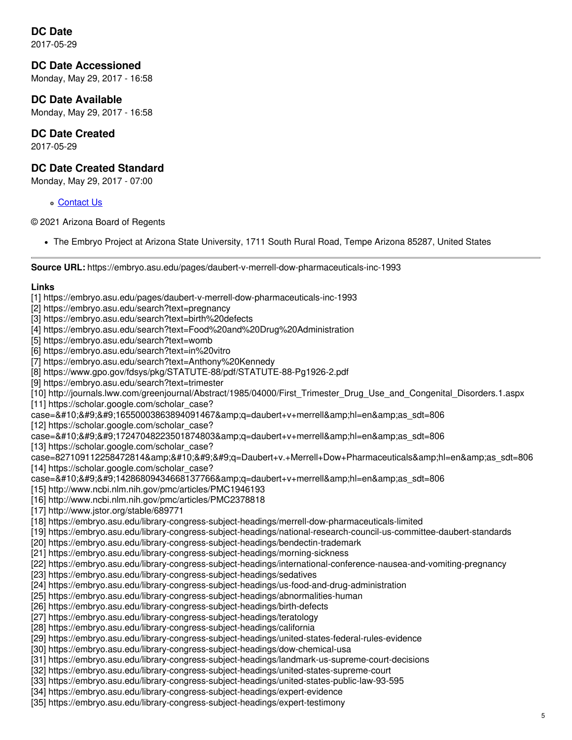## **DC Date**

2017-05-29

#### **DC Date Accessioned**

Monday, May 29, 2017 - 16:58

#### **DC Date Available**

Monday, May 29, 2017 - 16:58

#### **DC Date Created**

2017-05-29

#### **DC Date Created Standard**

Monday, May 29, 2017 - 07:00

[Contact](https://embryo.asu.edu/contact) Us

© 2021 Arizona Board of Regents

The Embryo Project at Arizona State University, 1711 South Rural Road, Tempe Arizona 85287, United States

**Source URL:** https://embryo.asu.edu/pages/daubert-v-merrell-dow-pharmaceuticals-inc-1993

#### **Links**

- [1] https://embryo.asu.edu/pages/daubert-v-merrell-dow-pharmaceuticals-inc-1993
- [2] https://embryo.asu.edu/search?text=pregnancy
- [3] https://embryo.asu.edu/search?text=birth%20defects
- [4] https://embryo.asu.edu/search?text=Food%20and%20Drug%20Administration
- [5] https://embryo.asu.edu/search?text=womb
- [6] https://embryo.asu.edu/search?text=in%20vitro
- [7] https://embryo.asu.edu/search?text=Anthony%20Kennedy
- [8] https://www.gpo.gov/fdsys/pkg/STATUTE-88/pdf/STATUTE-88-Pg1926-2.pdf
- [9] https://embryo.asu.edu/search?text=trimester

[10] http://journals.lww.com/greenjournal/Abstract/1985/04000/First\_Trimester\_Drug\_Use\_and\_Congenital\_Disorders.1.aspx

- [11] https://scholar.google.com/scholar\_case?
- case=&#10:&#9:&#9:16550003863894091467&amp:g=daubert+v+merrell&amp:hl=en&amp:as\_sdt=806

[12] https://scholar.google.com/scholar\_case?

case=
 17247048223501874803&q=daubert+v+merrell&hl=en&as sdt=806

[13] https://scholar.google.com/scholar\_case?

case=827109112258472814&
 q=Daubert+v.+Merrell+Dow+Pharmaceuticals&hl=en&as\_sdt=806 [14] https://scholar.google.com/scholar\_case?

- case=
 14286809434668137766&q=daubert+v+merrell&hl=en&as sdt=806
- [15] http://www.ncbi.nlm.nih.gov/pmc/articles/PMC1946193
- [16] http://www.ncbi.nlm.nih.gov/pmc/articles/PMC2378818
- [17] http://www.jstor.org/stable/689771
- [18] https://embryo.asu.edu/library-congress-subject-headings/merrell-dow-pharmaceuticals-limited
- [19] https://embryo.asu.edu/library-congress-subject-headings/national-research-council-us-committee-daubert-standards
- [20] https://embryo.asu.edu/library-congress-subject-headings/bendectin-trademark
- [21] https://embryo.asu.edu/library-congress-subject-headings/morning-sickness
- [22] https://embryo.asu.edu/library-congress-subject-headings/international-conference-nausea-and-vomiting-pregnancy
- [23] https://embryo.asu.edu/library-congress-subject-headings/sedatives
- [24] https://embryo.asu.edu/library-congress-subject-headings/us-food-and-drug-administration
- [25] https://embryo.asu.edu/library-congress-subject-headings/abnormalities-human
- [26] https://embryo.asu.edu/library-congress-subject-headings/birth-defects
- [27] https://embryo.asu.edu/library-congress-subject-headings/teratology
- [28] https://embryo.asu.edu/library-congress-subject-headings/california
- [29] https://embryo.asu.edu/library-congress-subject-headings/united-states-federal-rules-evidence
- [30] https://embryo.asu.edu/library-congress-subject-headings/dow-chemical-usa
- [31] https://embryo.asu.edu/library-congress-subject-headings/landmark-us-supreme-court-decisions
- [32] https://embryo.asu.edu/library-congress-subject-headings/united-states-supreme-court
- [33] https://embryo.asu.edu/library-congress-subject-headings/united-states-public-law-93-595
- [34] https://embryo.asu.edu/library-congress-subject-headings/expert-evidence
- [35] https://embryo.asu.edu/library-congress-subject-headings/expert-testimony